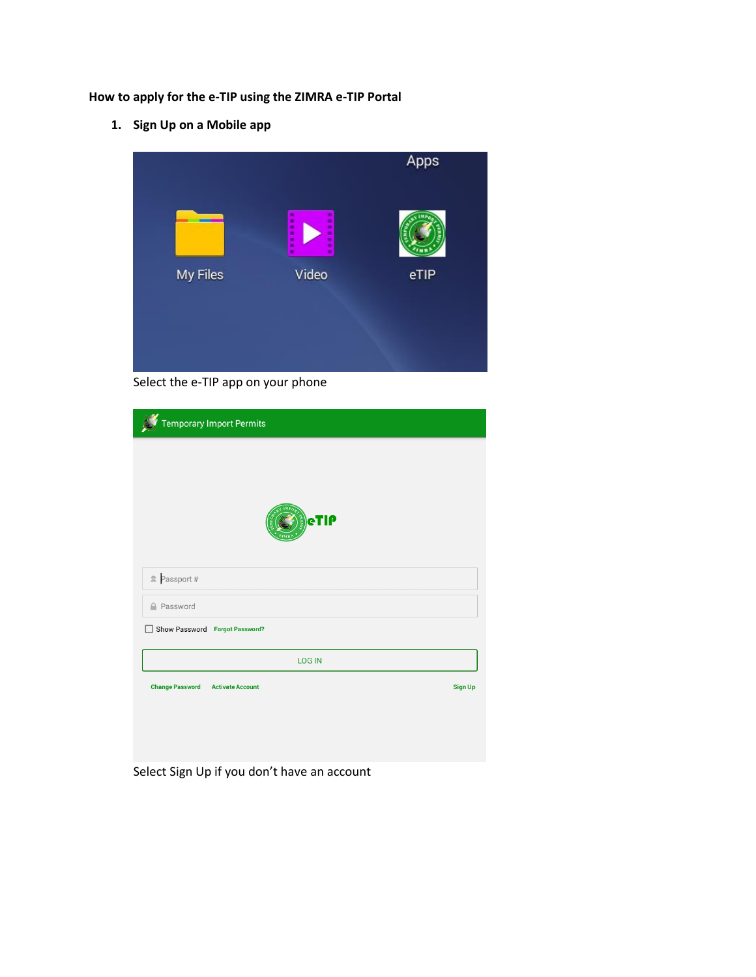**How to apply for the e-TIP using the ZIMRA e-TIP Portal**

**1. Sign Up on a Mobile app**

|          |        | Apps |
|----------|--------|------|
|          | ٠<br>۰ |      |
| My Files | Video  | eTIP |
|          |        |      |
|          |        |      |

Select the e-TIP app on your phone

| Temporary Import Permits                          |                |
|---------------------------------------------------|----------------|
|                                                   |                |
|                                                   |                |
| eTIP<br>릴                                         |                |
| <b>e</b> Passport #                               |                |
| <b>A</b> Password                                 |                |
| Show Password Forgot Password?                    |                |
| <b>LOG IN</b>                                     |                |
| <b>Change Password</b><br><b>Activate Account</b> | <b>Sign Up</b> |
|                                                   |                |
|                                                   |                |

Select Sign Up if you don't have an account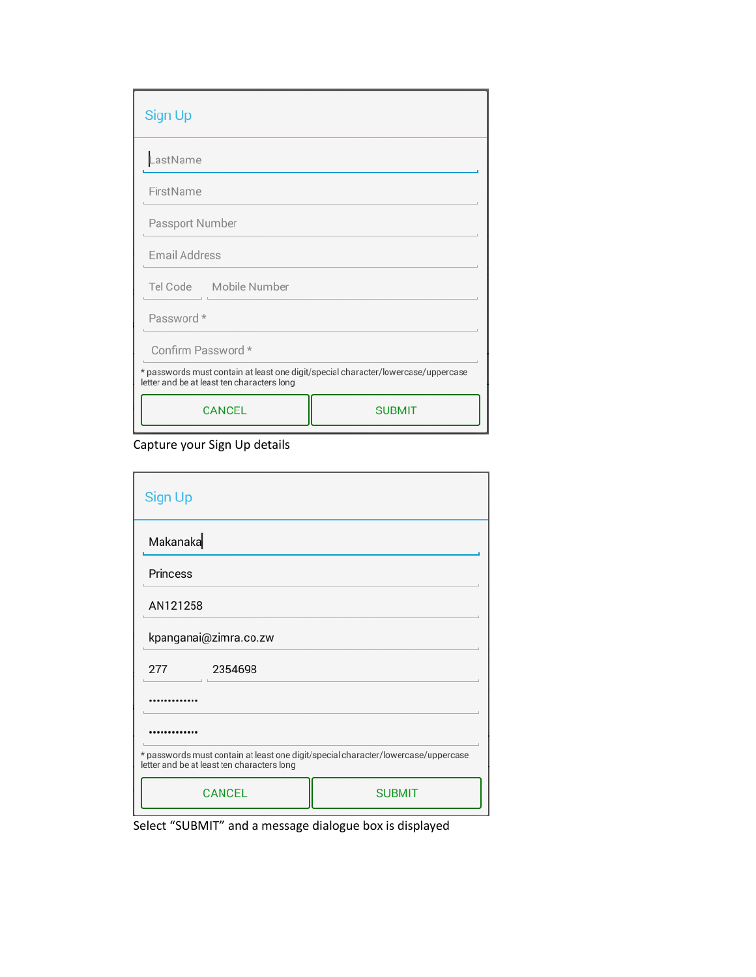| <b>Sign Up</b>                                                                                                                  |  |  |
|---------------------------------------------------------------------------------------------------------------------------------|--|--|
| LastName                                                                                                                        |  |  |
| FirstName                                                                                                                       |  |  |
| Passport Number                                                                                                                 |  |  |
| Email Address                                                                                                                   |  |  |
| Tel Code Mobile Number                                                                                                          |  |  |
| Password*                                                                                                                       |  |  |
| Confirm Password *                                                                                                              |  |  |
| * passwords must contain at least one digit/special character/lowercase/uppercase<br>letter and be at least ten characters long |  |  |
| CANCEL<br><b>SUBMIT</b>                                                                                                         |  |  |

Capture your Sign Up details

| <b>Sign Up</b>                                                                                                                  |               |
|---------------------------------------------------------------------------------------------------------------------------------|---------------|
| Makanaka                                                                                                                        |               |
| <b>Princess</b>                                                                                                                 |               |
| AN121258                                                                                                                        |               |
| kpanganai@zimra.co.zw                                                                                                           |               |
| 277<br>2354698                                                                                                                  |               |
|                                                                                                                                 |               |
|                                                                                                                                 |               |
| * passwords must contain at least one digit/special character/lowercase/uppercase<br>letter and be at least ten characters long |               |
| <b>CANCEL</b>                                                                                                                   | <b>SUBMIT</b> |

Select "SUBMIT" and a message dialogue box is displayed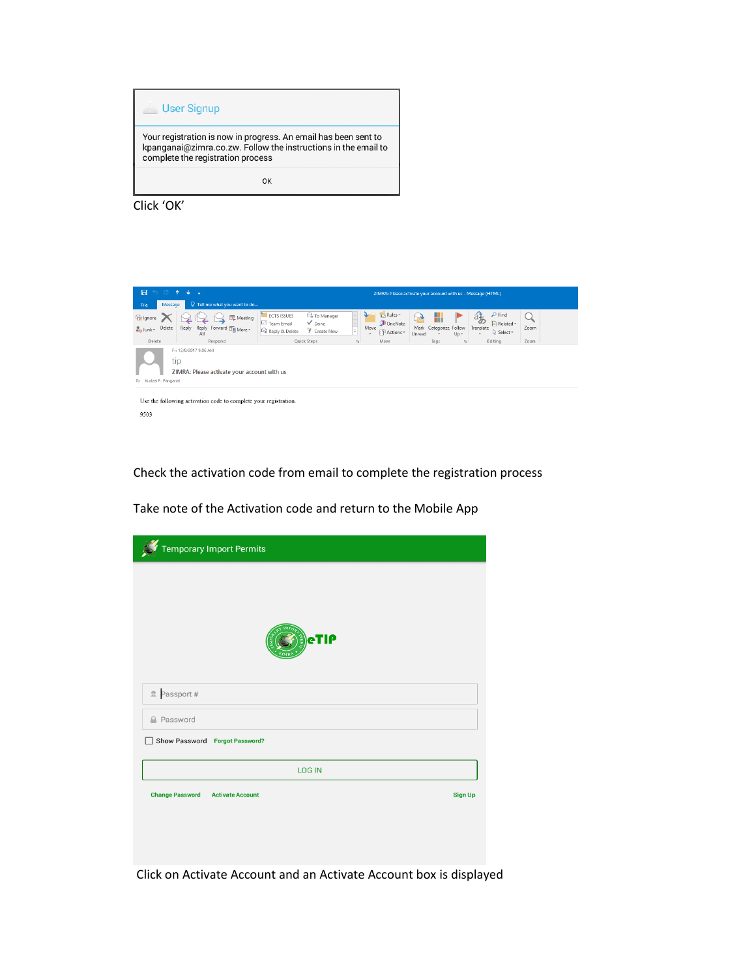

Click 'OK'



Check the activation code from email to complete the registration process

| Temporary Import Permits                          |                |
|---------------------------------------------------|----------------|
|                                                   |                |
|                                                   |                |
| eTIP                                              |                |
| <b>2</b> Passport #                               |                |
| <b>A</b> Password                                 |                |
| Show Password Forgot Password?                    |                |
| <b>LOG IN</b>                                     |                |
| <b>Change Password</b><br><b>Activate Account</b> | <b>Sign Up</b> |
|                                                   |                |
|                                                   |                |

Take note of the Activation code and return to the Mobile App

Click on Activate Account and an Activate Account box is displayed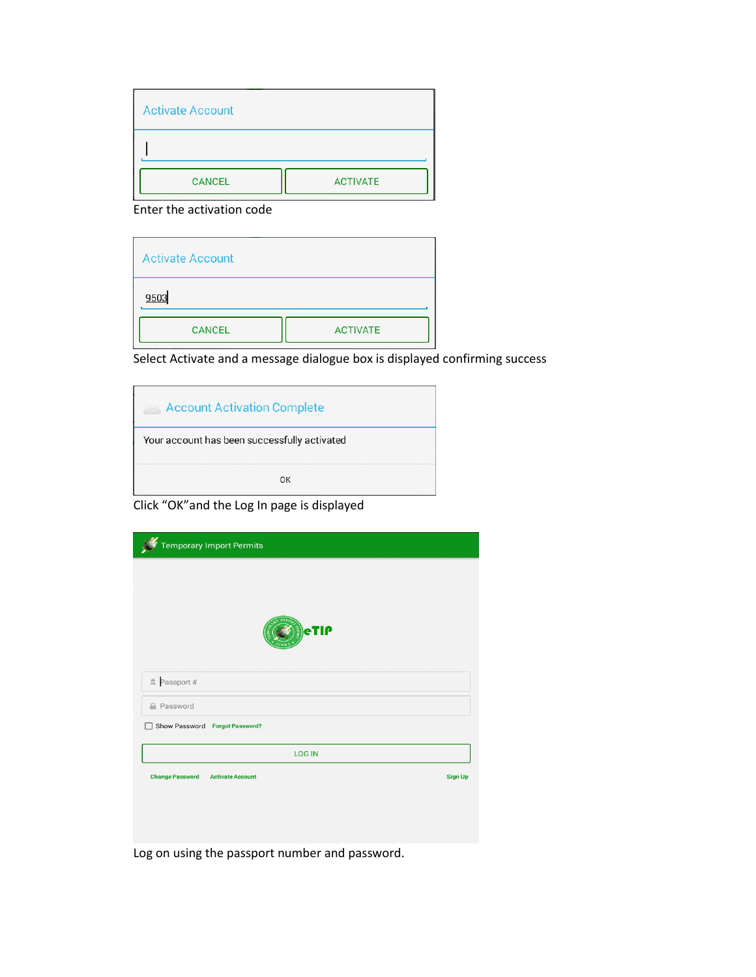| <b>Activate Account</b> |                 |
|-------------------------|-----------------|
|                         |                 |
| <b>CANCEL</b>           | <b>ACTIVATE</b> |

Enter the activation code

| <b>Activate Account</b> |                 |  |
|-------------------------|-----------------|--|
| 9503                    |                 |  |
| <b>CANCEL</b>           | <b>ACTIVATE</b> |  |

Select Activate and a message dialogue box is displayed confirming success

| <b>Account Activation Complete</b>           |
|----------------------------------------------|
| Your account has been successfully activated |
| OK                                           |

Click "OK"and the Log In page is displayed

| Temporary Import Permits                          |                |
|---------------------------------------------------|----------------|
|                                                   |                |
|                                                   |                |
| eTIP<br>igen).<br>P                               |                |
|                                                   |                |
| <b>2</b> Passport #                               |                |
| <b>A</b> Password                                 |                |
| Show Password Forgot Password?                    |                |
| <b>LOG IN</b>                                     |                |
| <b>Change Password</b><br><b>Activate Account</b> | <b>Sign Up</b> |
|                                                   |                |
|                                                   |                |

Log on using the passport number and password.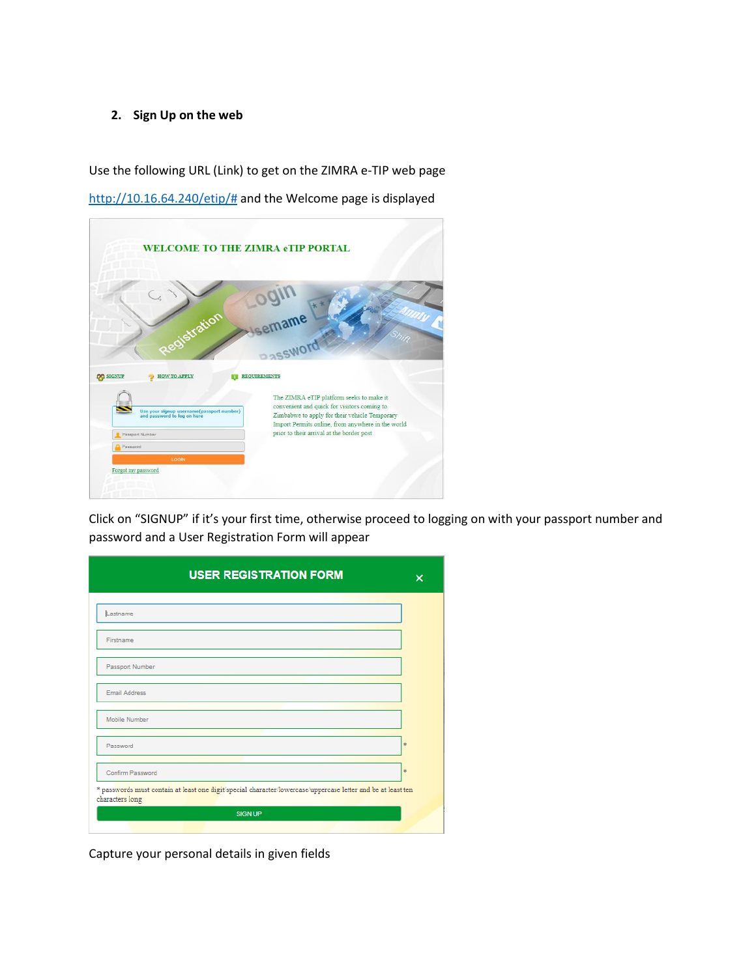## **2. Sign Up on the web**

Use the following URL (Link) to get on the ZIMRA e-TIP web page

[http://10.16.64.240/etip/#](http://10.16.64.240/etip/) and the Welcome page is displayed

|                                                                                                                  | <b>WELCOME TO THE ZIMRA eTIP PORTAL</b>                                                                                                                                                        |
|------------------------------------------------------------------------------------------------------------------|------------------------------------------------------------------------------------------------------------------------------------------------------------------------------------------------|
| Registration                                                                                                     | semame<br>DASSWORD                                                                                                                                                                             |
|                                                                                                                  |                                                                                                                                                                                                |
| <b>HOW TO APPLY</b>                                                                                              | <b>REQUIREMENTS</b><br>The ZIMRA eTIP platform seeks to make it                                                                                                                                |
| <b>CAS SIGNUP</b><br>Use your signup username(passport number)<br>and password to log on here<br>Passport Number | convenient and quick for visitors coming to<br>Zimbabwe to apply for their vehicle Temporary<br>Import Permits online, from anywhere in the world<br>prior to their arrival at the border post |
| Password                                                                                                         |                                                                                                                                                                                                |

Click on "SIGNUP" if it's your first time, otherwise proceed to logging on with your passport number and password and a User Registration Form will appear

| Lastname<br>Firstname<br>Passport Number<br>Email Address                                                                                  |  |
|--------------------------------------------------------------------------------------------------------------------------------------------|--|
|                                                                                                                                            |  |
|                                                                                                                                            |  |
|                                                                                                                                            |  |
|                                                                                                                                            |  |
| Mobile Number                                                                                                                              |  |
| $\star$<br>Password                                                                                                                        |  |
| $\ast$<br>Confirm Password<br>* passwords must contain at least one digit/special character/lowercase/uppercase letter and be at least ten |  |
| characters long<br><b>SIGN UP</b>                                                                                                          |  |

Capture your personal details in given fields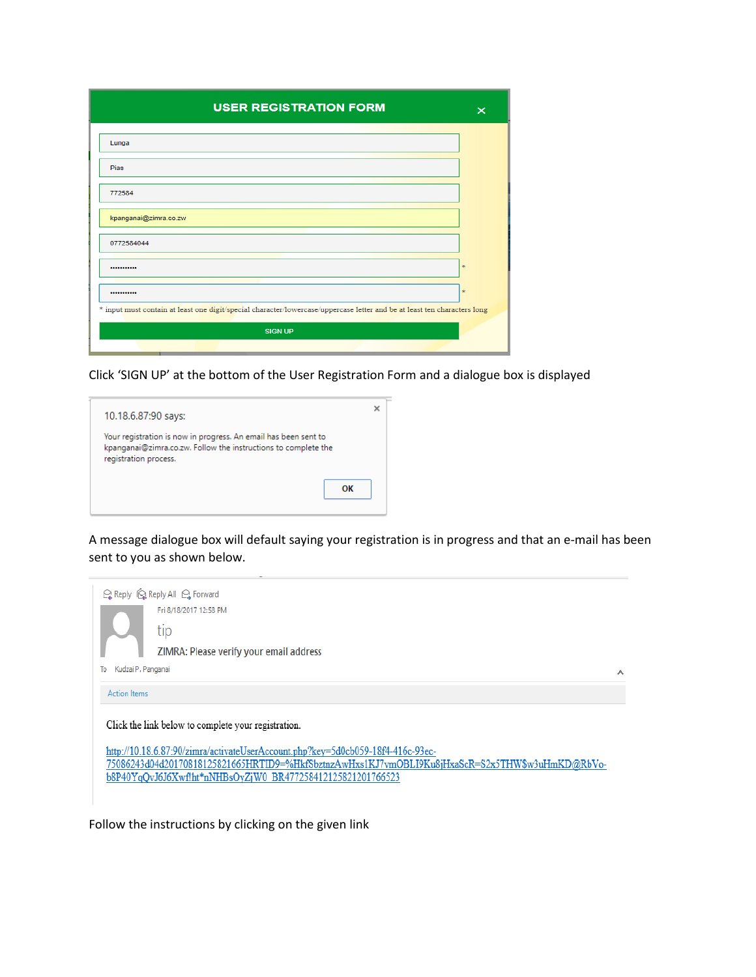| <b>USER REGISTRATION FORM</b>                                                                                            | $\times$ |
|--------------------------------------------------------------------------------------------------------------------------|----------|
| Lunga                                                                                                                    |          |
| <b>Pias</b>                                                                                                              |          |
| 772584                                                                                                                   |          |
| kpanganai@zimra.co.zw                                                                                                    |          |
| 0772584044                                                                                                               |          |
|                                                                                                                          | $\ast$   |
|                                                                                                                          | *        |
| * input must contain at least one digit/special character/lowercase/uppercase letter and be at least ten characters long |          |
| <b>SIGN UP</b>                                                                                                           |          |

Click 'SIGN UP' at the bottom of the User Registration Form and a dialogue box is displayed



A message dialogue box will default saying your registration is in progress and that an e-mail has been sent to you as shown below.



Follow the instructions by clicking on the given link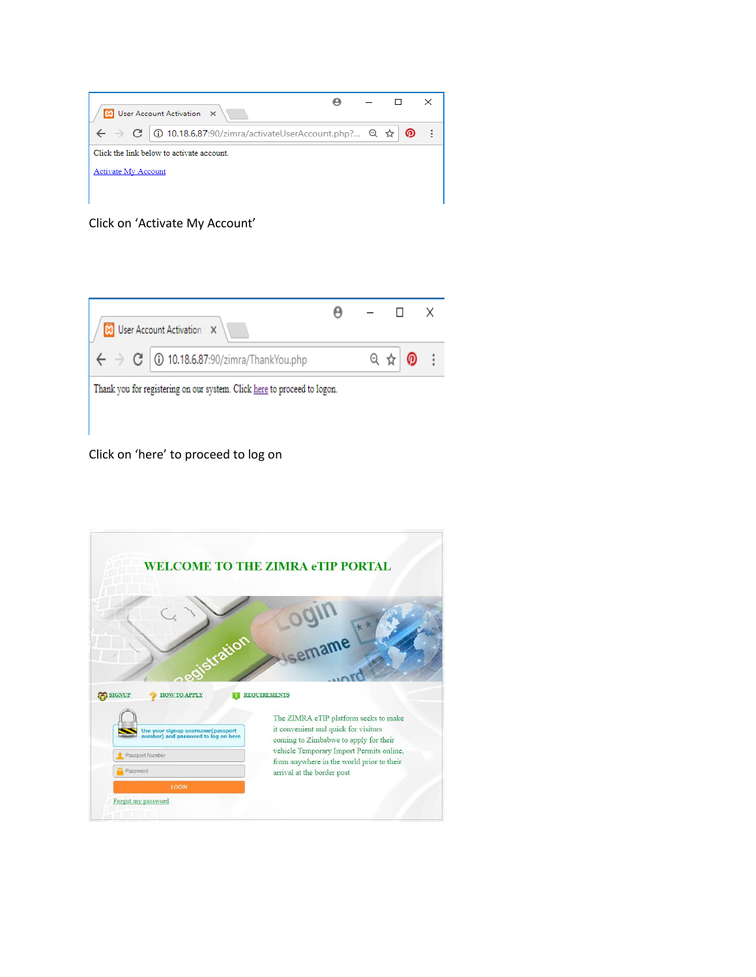

Click on 'Activate My Account'



Click on 'here' to proceed to log on

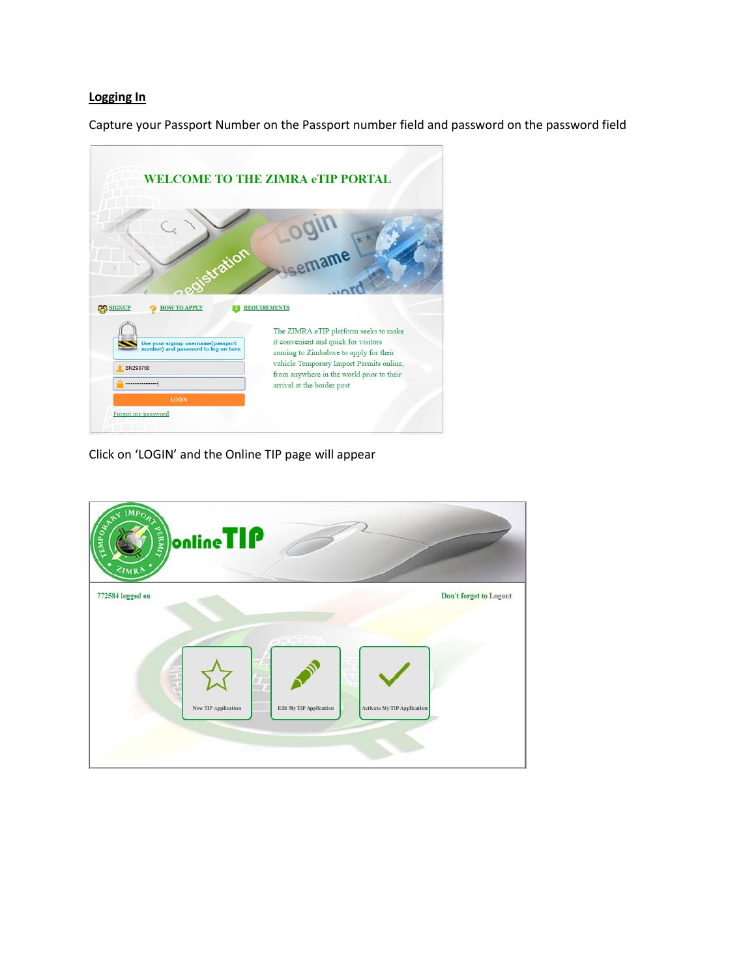### **Logging In**

Capture your Passport Number on the Passport number field and password on the password field



Click on 'LOGIN' and the Online TIP page will appear

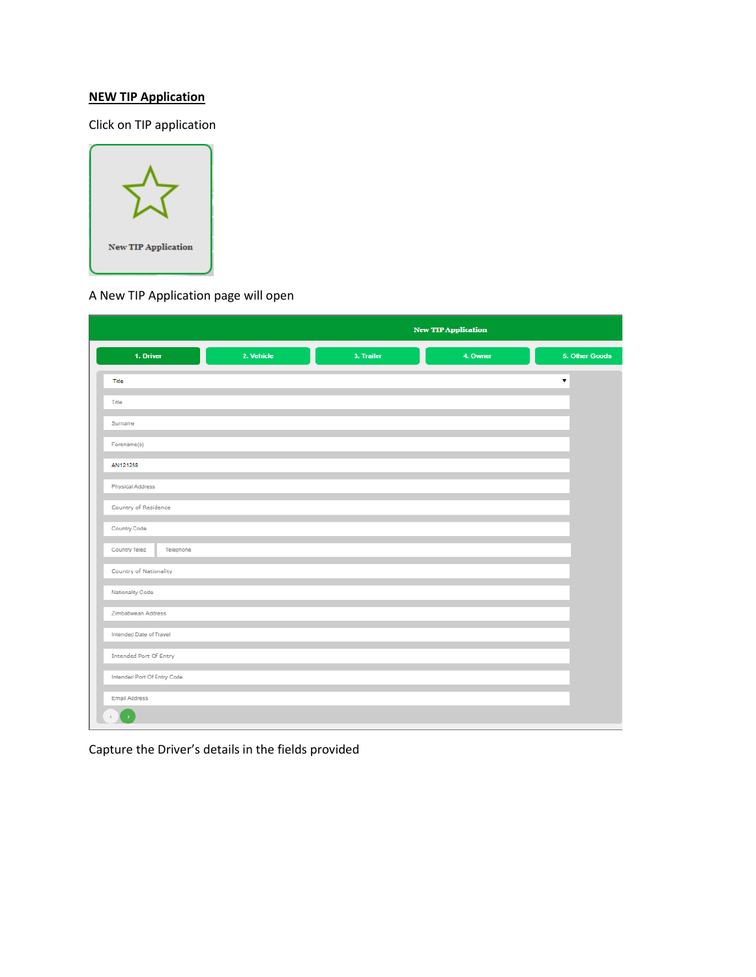# **NEW TIP Application**

Click on TIP application



A New TIP Application page will open

|                               | <b>New TIP Application</b> |            |          |                    |  |  |
|-------------------------------|----------------------------|------------|----------|--------------------|--|--|
| 1. Driver                     | 2. Vehicle                 | 3. Trailer | 4. Owner | 5. Other Goods     |  |  |
| Title                         |                            |            |          | $\pmb{\mathrm{v}}$ |  |  |
| Title                         |                            |            |          |                    |  |  |
| Surname                       |                            |            |          |                    |  |  |
| Forename(s)                   |                            |            |          |                    |  |  |
| AN121258                      |                            |            |          |                    |  |  |
| <b>Physical Address</b>       |                            |            |          |                    |  |  |
| Country of Residence          |                            |            |          |                    |  |  |
| Country Code                  |                            |            |          |                    |  |  |
| Country Telep<br>Telephone    |                            |            |          |                    |  |  |
| Country of Nationality        |                            |            |          |                    |  |  |
| Nationality Code              |                            |            |          |                    |  |  |
| Zimbabwean Address            |                            |            |          |                    |  |  |
| Intended Date of Travel       |                            |            |          |                    |  |  |
| <b>Intended Port Of Entry</b> |                            |            |          |                    |  |  |
| Intended Port Of Entry Code   |                            |            |          |                    |  |  |
| <b>Email Address</b>          |                            |            |          |                    |  |  |
|                               |                            |            |          |                    |  |  |

Capture the Driver's details in the fields provided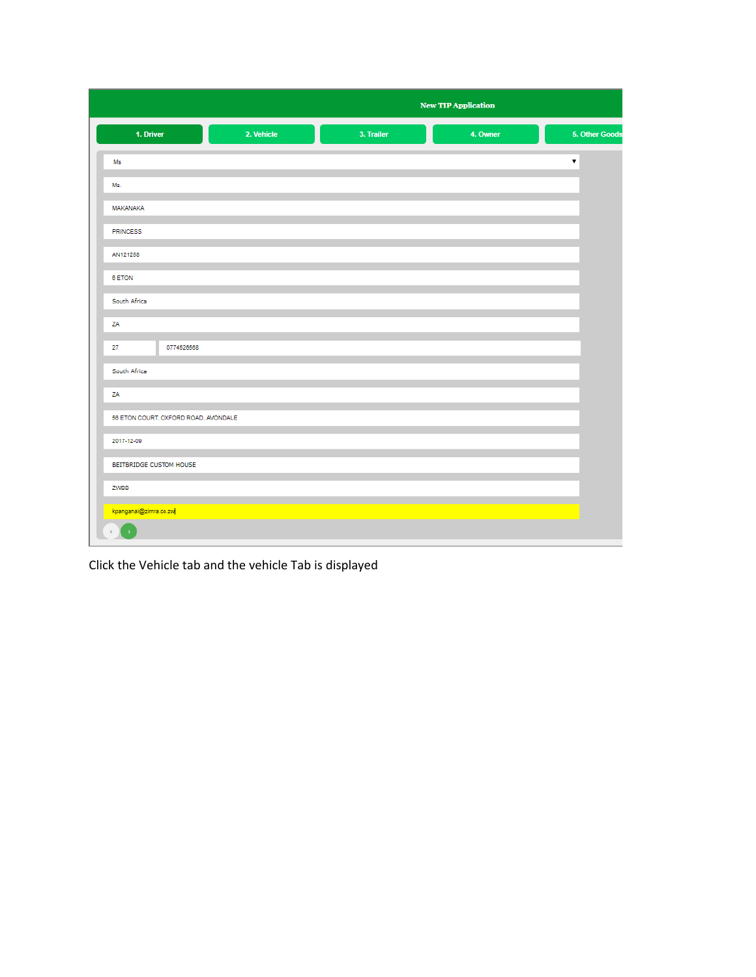|                                      |            |            | New TIP Application |                |
|--------------------------------------|------------|------------|---------------------|----------------|
| 1. Driver                            | 2. Vehicle | 3. Trailer | 4. Owner            | 5. Other Goods |
| Ms                                   |            |            |                     |                |
| Ms.                                  |            |            |                     |                |
| MAKANAKA                             |            |            |                     |                |
| <b>PRINCESS</b>                      |            |            |                     |                |
| AN121258                             |            |            |                     |                |
| <b>6 ETON</b>                        |            |            |                     |                |
| South Africa                         |            |            |                     |                |
| ZA                                   |            |            |                     |                |
| 27<br>0774526568                     |            |            |                     |                |
| South Africa                         |            |            |                     |                |
| ZA                                   |            |            |                     |                |
| 56 ETON COURT, OXFORD ROAD, AVONDALE |            |            |                     |                |
| 2017-12-09                           |            |            |                     |                |
| BEITBRIDGE CUSTOM HOUSE              |            |            |                     |                |
| <b>ZWBB</b>                          |            |            |                     |                |
| kpanganai@zimra.co.zw                |            |            |                     |                |
| $\bar{\rm{y}}$                       |            |            |                     |                |

Click the Vehicle tab and the vehicle Tab is displayed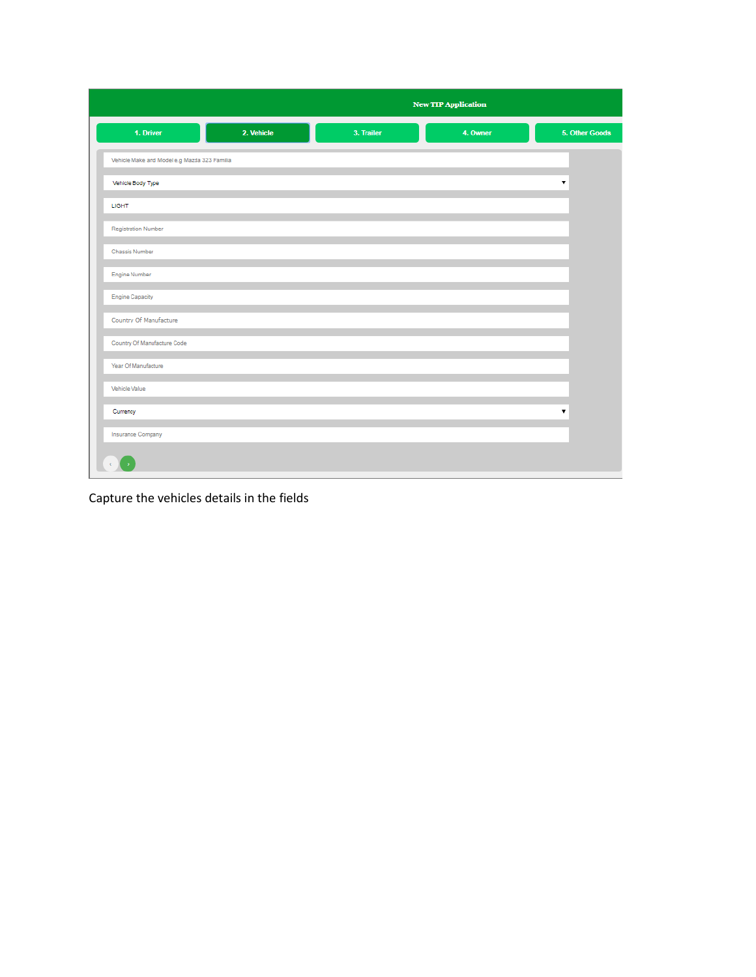| 2. Vehicle | 3. Trailer | 4. Owner | 5. Other Goods<br>$\blacktriangledown$ |
|------------|------------|----------|----------------------------------------|
|            |            |          |                                        |
|            |            |          |                                        |
|            |            |          |                                        |
|            |            |          |                                        |
|            |            |          |                                        |
|            |            |          |                                        |
|            |            |          |                                        |
|            |            |          |                                        |
|            |            |          |                                        |
|            |            |          |                                        |
|            |            |          |                                        |
|            |            |          |                                        |
|            |            |          | $\pmb{\mathrm{v}}$                     |
|            |            |          |                                        |
|            |            |          |                                        |

Capture the vehicles details in the fields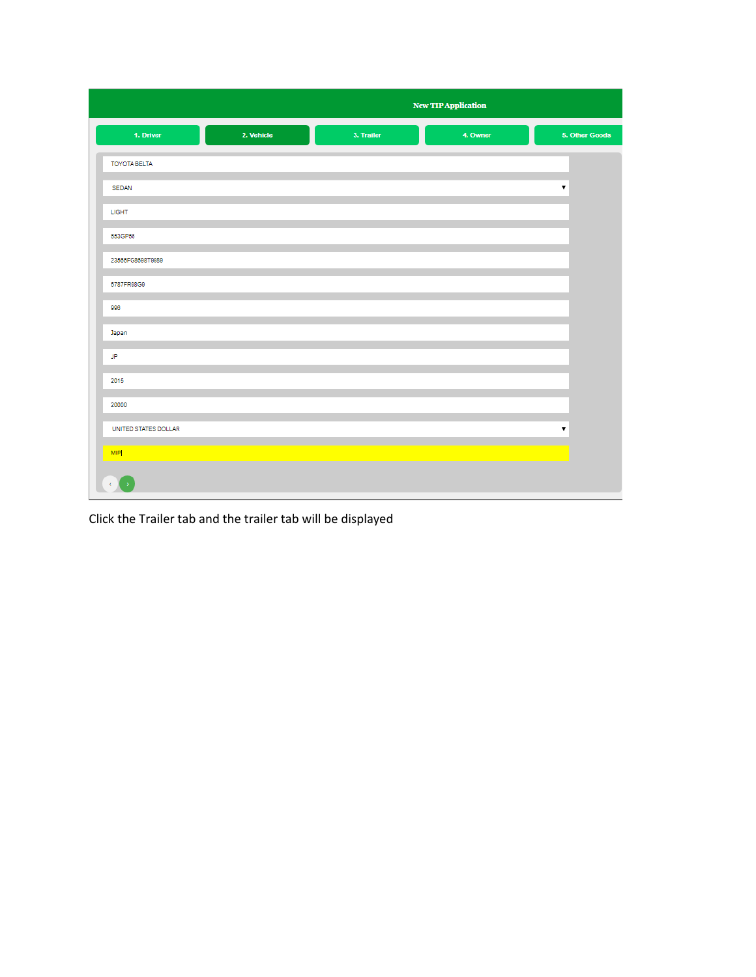| 2. Vehicle | 3. Trailer | 4. Owner | 5. Other Goods<br>$\pmb{\mathrm{v}}$ |
|------------|------------|----------|--------------------------------------|
|            |            |          |                                      |
|            |            |          |                                      |
|            |            |          |                                      |
|            |            |          |                                      |
|            |            |          |                                      |
|            |            |          |                                      |
|            |            |          |                                      |
|            |            |          |                                      |
|            |            |          |                                      |
|            |            |          |                                      |
|            |            |          |                                      |
|            |            |          |                                      |
|            |            |          | $\pmb{\mathrm{v}}$                   |
|            |            |          |                                      |
|            |            |          |                                      |
|            |            |          |                                      |

Click the Trailer tab and the trailer tab will be displayed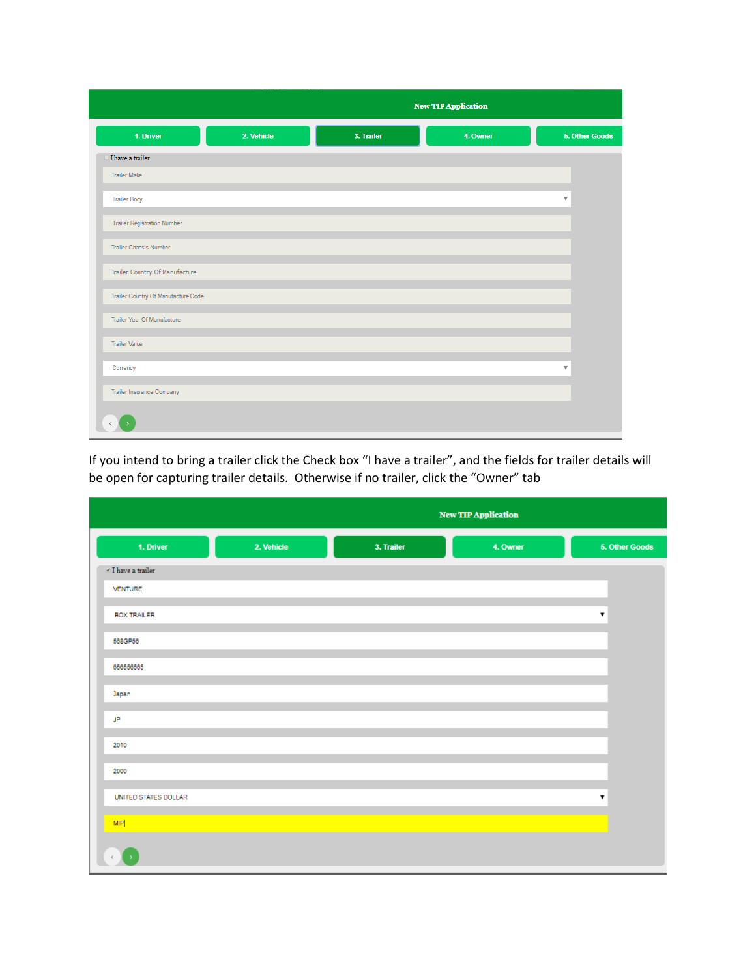|            | New TIP Application |          |                         |  |  |  |
|------------|---------------------|----------|-------------------------|--|--|--|
| 2. Vehicle | 3. Trailer          | 4. Owner | 5. Other Goods          |  |  |  |
|            |                     |          |                         |  |  |  |
|            |                     |          |                         |  |  |  |
|            |                     |          | $\overline{\mathbf{v}}$ |  |  |  |
|            |                     |          |                         |  |  |  |
|            |                     |          |                         |  |  |  |
|            |                     |          |                         |  |  |  |
|            |                     |          |                         |  |  |  |
|            |                     |          |                         |  |  |  |
|            |                     |          |                         |  |  |  |
|            |                     |          | $\overline{\mathbf{v}}$ |  |  |  |
|            |                     |          |                         |  |  |  |
|            |                     |          |                         |  |  |  |

If you intend to bring a trailer click the Check box "I have a trailer", and the fields for trailer details will be open for capturing trailer details. Otherwise if no trailer, click the "Owner" tab

|                      |            | ${\hbox{New TIP Application}}$ |          |                    |  |  |  |
|----------------------|------------|--------------------------------|----------|--------------------|--|--|--|
| 1. Driver            | 2. Vehicle | 3. Trailer                     | 4. Owner | 5. Other Goods     |  |  |  |
| L'I have a trailer   |            |                                |          |                    |  |  |  |
| <b>VENTURE</b>       |            |                                |          |                    |  |  |  |
| <b>BOX TRAILER</b>   |            |                                |          | $\pmb{\mathrm{v}}$ |  |  |  |
| 568GP56              |            |                                |          |                    |  |  |  |
| 656556565            |            |                                |          |                    |  |  |  |
| Japan                |            |                                |          |                    |  |  |  |
| <b>JP</b>            |            |                                |          |                    |  |  |  |
| 2010                 |            |                                |          |                    |  |  |  |
| 2000                 |            |                                |          |                    |  |  |  |
| UNITED STATES DOLLAR |            |                                |          |                    |  |  |  |
| MIP                  |            |                                |          |                    |  |  |  |
| ۰,                   |            |                                |          |                    |  |  |  |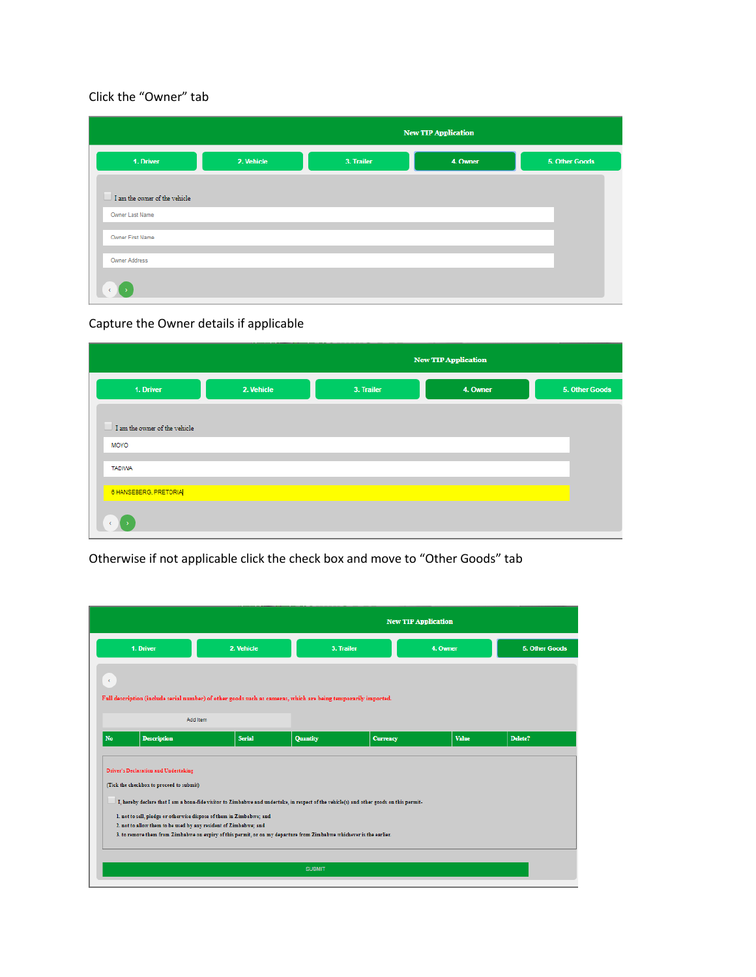Click the "Owner" tab

|                               | <b>New TIP Application</b> |            |          |                |  |  |  |
|-------------------------------|----------------------------|------------|----------|----------------|--|--|--|
| 1. Driver                     | 2. Vehicle                 | 3. Trailer | 4. Owner | 5. Other Goods |  |  |  |
| I am the owner of the vehicle |                            |            |          |                |  |  |  |
| Owner Last Name               |                            |            |          |                |  |  |  |
| Owner First Name              |                            |            |          |                |  |  |  |
| Owner Address                 |                            |            |          |                |  |  |  |
|                               |                            |            |          |                |  |  |  |

Capture the Owner details if applicable

|                               | <b>New TIP Application</b> |            |          |                |  |  |
|-------------------------------|----------------------------|------------|----------|----------------|--|--|
| 1. Driver                     | 2. Vehicle                 | 3. Trailer | 4. Owner | 5. Other Goods |  |  |
| I am the owner of the vehicle |                            |            |          |                |  |  |
| <b>MOYO</b>                   |                            |            |          |                |  |  |
| <b>TADIWA</b>                 |                            |            |          |                |  |  |
| 6 HANSEBERG, PRETORIA         |                            |            |          |                |  |  |
|                               |                            |            |          |                |  |  |

Otherwise if not applicable click the check box and move to "Other Goods" tab

|                                                                                                                                                                                                                                                                                   |                    | <b>New TIP Application</b> |                 |                 |              |         |  |  |  |
|-----------------------------------------------------------------------------------------------------------------------------------------------------------------------------------------------------------------------------------------------------------------------------------|--------------------|----------------------------|-----------------|-----------------|--------------|---------|--|--|--|
| 1. Driver<br>2. Vehicle<br>3. Trailer<br>4. Owner<br>5. Other Goods                                                                                                                                                                                                               |                    |                            |                 |                 |              |         |  |  |  |
|                                                                                                                                                                                                                                                                                   |                    |                            |                 |                 |              |         |  |  |  |
| $\epsilon$<br>Full description (include serial number) of other goods such as cameras, which are being temporarily imported.                                                                                                                                                      |                    |                            |                 |                 |              |         |  |  |  |
| Add Item                                                                                                                                                                                                                                                                          |                    |                            |                 |                 |              |         |  |  |  |
| No.                                                                                                                                                                                                                                                                               | <b>Description</b> | <b>Serial</b>              | <b>Quantity</b> | <b>Currency</b> | <b>Value</b> | Delete? |  |  |  |
| <b>Driver's Declaration and Undertaking</b><br>(Tick the checkbox to proceed to submit)<br>I, hereby declare that I am a bona-fide visitor to Zimbabwe and undertake, in respect of the vehicle(s) and other goods on this permit-                                                |                    |                            |                 |                 |              |         |  |  |  |
| 1. not to sell, pledge or otherwise dispose of them in Zimbabwe; and<br>2. not to allow them to be used by any resident of Zimbabwe; and<br>3. to remove them from Zimbabwe on expiry of this permit, or on my departure from Zimbabwe whichever is the earlier.<br><b>SUBMIT</b> |                    |                            |                 |                 |              |         |  |  |  |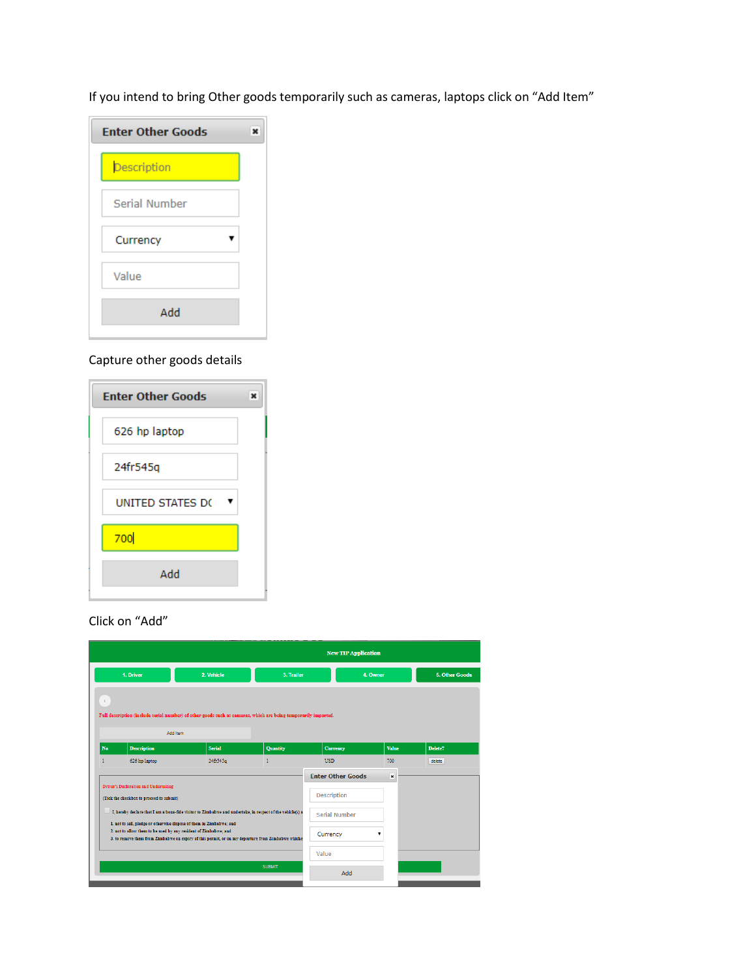If you intend to bring Other goods temporarily such as cameras, laptops click on "Add Item"

| <b>Enter Other Goods</b> |  |
|--------------------------|--|
| Description              |  |
| Serial Number            |  |
| Currency                 |  |
| Value                    |  |
| Add                      |  |

## Capture other goods details

| <b>Enter Other Goods</b> | × |
|--------------------------|---|
| 626 hp laptop            |   |
| 24fr545q                 |   |
| UNITED STATES DO         |   |
| 700                      |   |
| Add                      |   |

## Click on "Add"

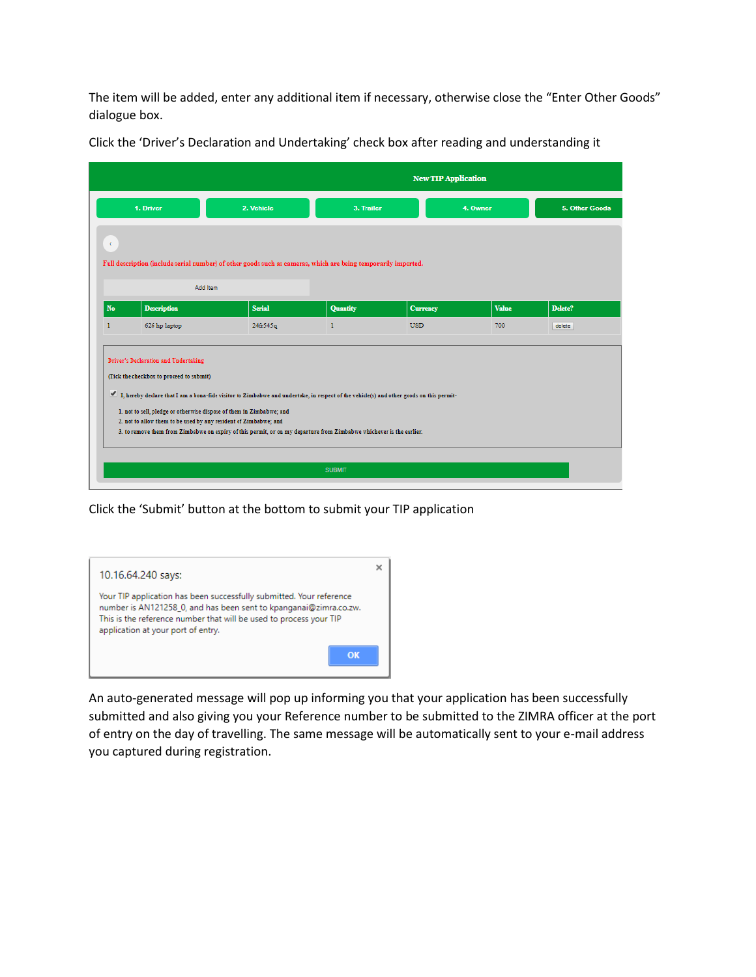The item will be added, enter any additional item if necessary, otherwise close the "Enter Other Goods" dialogue box.

|            | <b>New TIP Application</b>                                                                                                                                                                                                                                                                                                                                                                                                                                                                             |               |               |                 |              |                |  |  |
|------------|--------------------------------------------------------------------------------------------------------------------------------------------------------------------------------------------------------------------------------------------------------------------------------------------------------------------------------------------------------------------------------------------------------------------------------------------------------------------------------------------------------|---------------|---------------|-----------------|--------------|----------------|--|--|
|            | 1. Driver                                                                                                                                                                                                                                                                                                                                                                                                                                                                                              | 2. Vehicle    | 3. Trailer    |                 | 4. Owner     | 5. Other Goods |  |  |
| $\epsilon$ |                                                                                                                                                                                                                                                                                                                                                                                                                                                                                                        |               |               |                 |              |                |  |  |
|            | Full description (include serial number) of other goods such as cameras, which are being temporarily imported.                                                                                                                                                                                                                                                                                                                                                                                         |               |               |                 |              |                |  |  |
|            | Add Item                                                                                                                                                                                                                                                                                                                                                                                                                                                                                               |               |               |                 |              |                |  |  |
| No         | <b>Description</b>                                                                                                                                                                                                                                                                                                                                                                                                                                                                                     | <b>Serial</b> | Quantity      | <b>Currency</b> | <b>Value</b> | Delete?        |  |  |
| T.         | 626 hp laptop                                                                                                                                                                                                                                                                                                                                                                                                                                                                                          | 24fr545q      | $\mathbf{1}$  | <b>USD</b>      | 700          | delete         |  |  |
|            | <b>Driver's Declaration and Undertaking</b><br>(Tick the checkbox to proceed to submit)<br>I, hereby declare that I am a bona-fide visitor to Zimbabwe and undertake, in respect of the vehicle(s) and other goods on this permit-<br>1. not to sell, pledge or otherwise dispose of them in Zimbabwe; and<br>2. not to allow them to be used by any resident of Zimbabwe; and<br>3. to remove them from Zimbabwe on expiry of this permit, or on my departure from Zimbabwe whichever is the earlier. |               |               |                 |              |                |  |  |
|            |                                                                                                                                                                                                                                                                                                                                                                                                                                                                                                        |               | <b>SUBMIT</b> |                 |              |                |  |  |

Click the 'Driver's Declaration and Undertaking' check box after reading and understanding it

Click the 'Submit' button at the bottom to submit your TIP application



An auto-generated message will pop up informing you that your application has been successfully submitted and also giving you your Reference number to be submitted to the ZIMRA officer at the port of entry on the day of travelling. The same message will be automatically sent to your e-mail address you captured during registration.